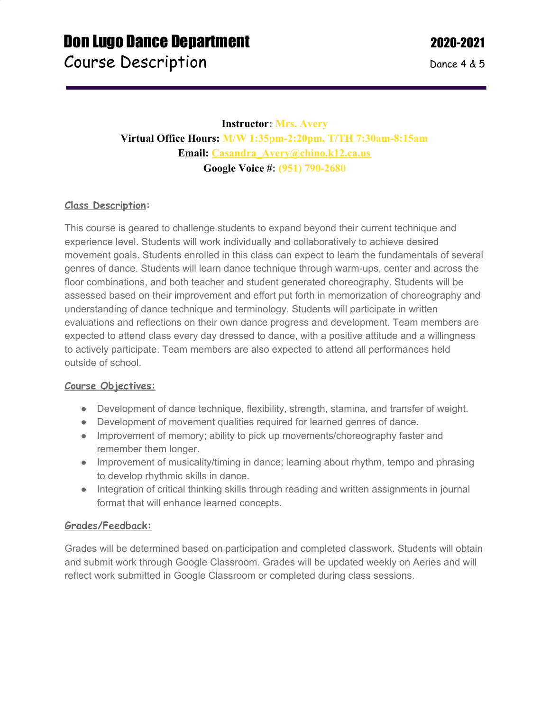## **Instructor: Mrs. Avery Virtual Office Hours: M/W 1:35pm-2:20pm, T/TH 7:30am-8:15am Email: [Casandra\\_Avery@chino.k12.ca.us](mailto:Casandra_Avery@chino.k12.ca.us) Google Voice #: (951) 790-2680**

### **Class Description:**

This course is geared to challenge students to expand beyond their current technique and experience level. Students will work individually and collaboratively to achieve desired movement goals. Students enrolled in this class can expect to learn the fundamentals of several genres of dance. Students will learn dance technique through warm-ups, center and across the floor combinations, and both teacher and student generated choreography. Students will be assessed based on their improvement and effort put forth in memorization of choreography and understanding of dance technique and terminology. Students will participate in written evaluations and reflections on their own dance progress and development. Team members are expected to attend class every day dressed to dance, with a positive attitude and a willingness to actively participate. Team members are also expected to attend all performances held outside of school.

#### **Course Objectives:**

- Development of dance technique, flexibility, strength, stamina, and transfer of weight.
- Development of movement qualities required for learned genres of dance.
- Improvement of memory; ability to pick up movements/choreography faster and remember them longer.
- Improvement of musicality/timing in dance; learning about rhythm, tempo and phrasing to develop rhythmic skills in dance.
- Integration of critical thinking skills through reading and written assignments in journal format that will enhance learned concepts.

#### **Grades/Feedback:**

Grades will be determined based on participation and completed classwork. Students will obtain and submit work through Google Classroom. Grades will be updated weekly on Aeries and will reflect work submitted in Google Classroom or completed during class sessions.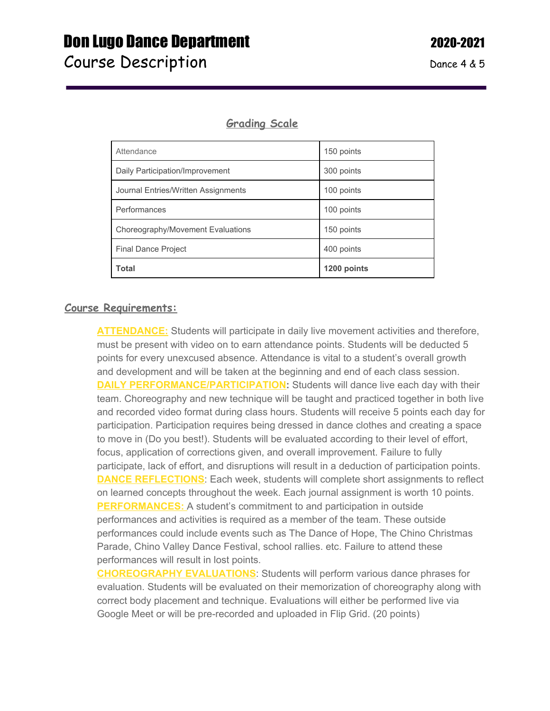# **Don Lugo Dance Department 2020-2021**

## **Grading Scale**

| Daily Participation/Improvement     | 300 points  |
|-------------------------------------|-------------|
| Journal Entries/Written Assignments | 100 points  |
| Performances                        | 100 points  |
| Choreography/Movement Evaluations   | 150 points  |
| <b>Final Dance Project</b>          | 400 points  |
| <b>Total</b>                        | 1200 points |

#### **Course Requirements:**

**ATTENDANCE:** Students will participate in daily live movement activities and therefore, must be present with video on to earn attendance points. Students will be deducted 5 points for every unexcused absence. Attendance is vital to a student's overall growth and development and will be taken at the beginning and end of each class session. **DAILY PERFORMANCE/PARTICIPATION:** Students will dance live each day with their team. Choreography and new technique will be taught and practiced together in both live and recorded video format during class hours. Students will receive 5 points each day for participation. Participation requires being dressed in dance clothes and creating a space to move in (Do you best!). Students will be evaluated according to their level of effort, focus, application of corrections given, and overall improvement. Failure to fully participate, lack of effort, and disruptions will result in a deduction of participation points. **DANCE REFLECTIONS:** Each week, students will complete short assignments to reflect on learned concepts throughout the week. Each journal assignment is worth 10 points. **PERFORMANCES:** A student's commitment to and participation in outside performances and activities is required as a member of the team. These outside performances could include events such as The Dance of Hope, The Chino Christmas Parade, Chino Valley Dance Festival, school rallies. etc. Failure to attend these performances will result in lost points.

**CHOREOGRAPHY EVALUATIONS**: Students will perform various dance phrases for evaluation. Students will be evaluated on their memorization of choreography along with correct body placement and technique. Evaluations will either be performed live via Google Meet or will be pre-recorded and uploaded in Flip Grid. (20 points)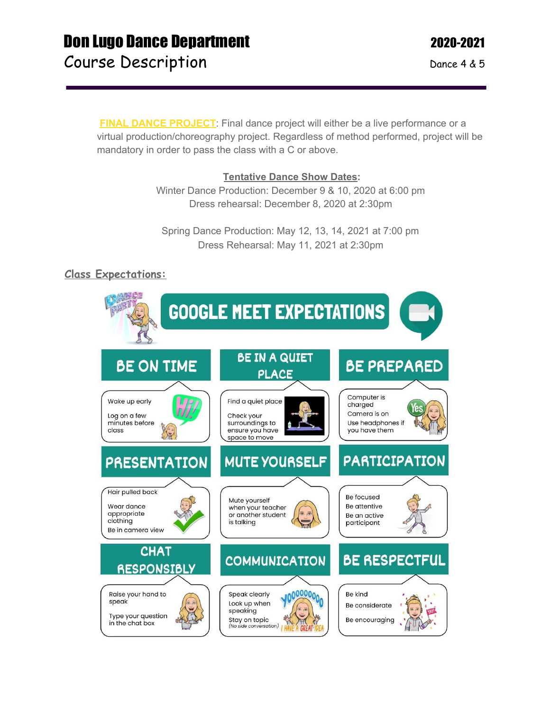## **Don Lugo Dance Department 2020-2021** Course Description Dance 4 & 5

**FINAL DANCE PROJECT:** Final dance project will either be a live performance or a virtual production/choreography project. Regardless of method performed, project will be mandatory in order to pass the class with a C or above.

#### **Tentative Dance Show Dates:**

Winter Dance Production: December 9 & 10, 2020 at 6:00 pm Dress rehearsal: December 8, 2020 at 2:30pm

Spring Dance Production: May 12, 13, 14, 2021 at 7:00 pm Dress Rehearsal: May 11, 2021 at 2:30pm

## **Class Expectations:**

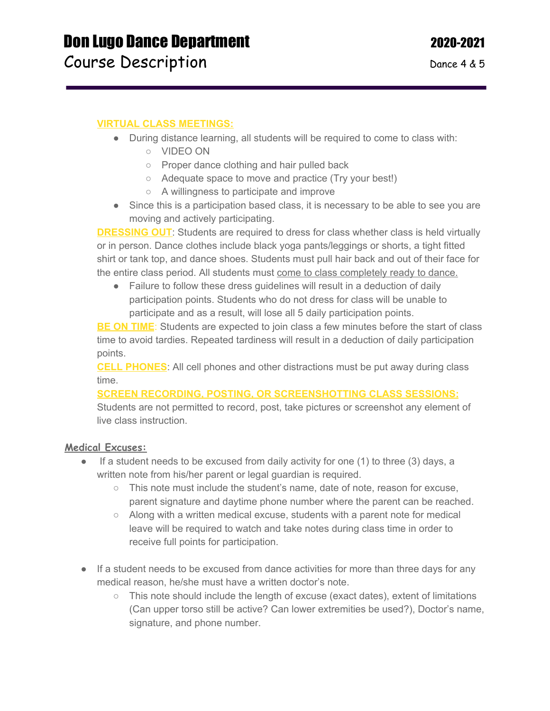#### **VIRTUAL CLASS MEETINGS:**

- During distance learning, all students will be required to come to class with:
	- VIDEO ON
	- Proper dance clothing and hair pulled back
	- Adequate space to move and practice (Try your best!)
	- A willingness to participate and improve
- Since this is a participation based class, it is necessary to be able to see you are moving and actively participating.

**DRESSING OUT:** Students are required to dress for class whether class is held virtually or in person. Dance clothes include black yoga pants/leggings or shorts, a tight fitted shirt or tank top, and dance shoes. Students must pull hair back and out of their face for the entire class period. All students must come to class completely ready to dance.

● Failure to follow these dress guidelines will result in a deduction of daily participation points. Students who do not dress for class will be unable to participate and as a result, will lose all 5 daily participation points.

**BE ON TIME**: Students are expected to join class a few minutes before the start of class time to avoid tardies. Repeated tardiness will result in a deduction of daily participation points.

**CELL PHONES**: All cell phones and other distractions must be put away during class time.

#### **SCREEN RECORDING, POSTING, OR SCREENSHOTTING CLASS SESSIONS:**

Students are not permitted to record, post, take pictures or screenshot any element of live class instruction.

#### **Medical Excuses:**

- $\bullet$  If a student needs to be excused from daily activity for one (1) to three (3) days, a written note from his/her parent or legal guardian is required.
	- $\circ$  This note must include the student's name, date of note, reason for excuse, parent signature and daytime phone number where the parent can be reached.
	- $\circ$  Along with a written medical excuse, students with a parent note for medical leave will be required to watch and take notes during class time in order to receive full points for participation.
- If a student needs to be excused from dance activities for more than three days for any medical reason, he/she must have a written doctor's note.
	- $\circ$  This note should include the length of excuse (exact dates), extent of limitations (Can upper torso still be active? Can lower extremities be used?), Doctor's name, signature, and phone number.